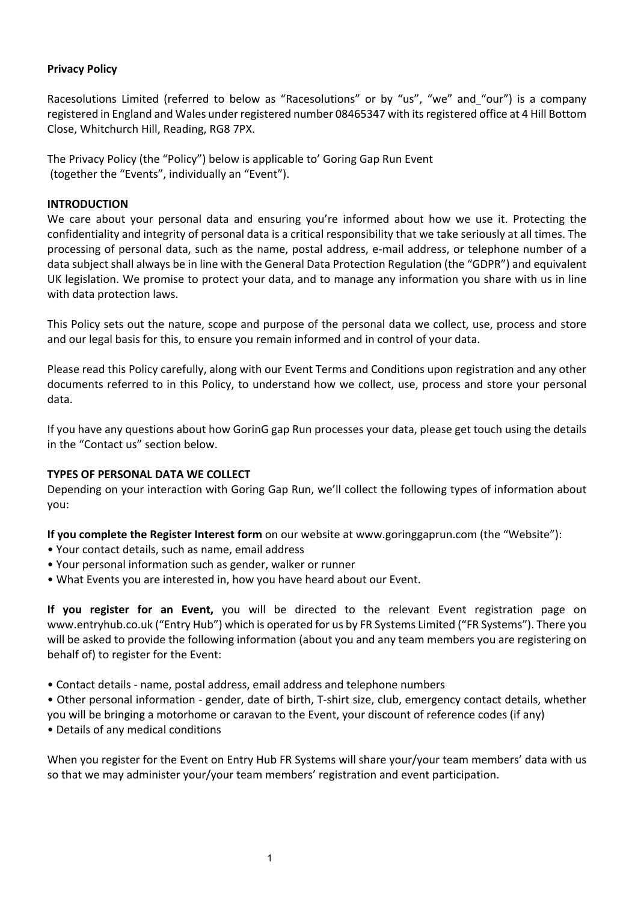# **Privacy Policy**

Racesolutions Limited (referred to below as "Racesolutions" or by "us", "we" and "our") is a company registered in England and Wales under registered number 08465347 with its registered office at 4 Hill Bottom Close, Whitchurch Hill, Reading, RG8 7PX.

The Privacy Policy (the "Policy") below is applicable to' Goring Gap Run Event (together the "Events", individually an "Event").

### **INTRODUCTION**

We care about your personal data and ensuring you're informed about how we use it. Protecting the confidentiality and integrity of personal data is a critical responsibility that we take seriously at all times. The processing of personal data, such as the name, postal address, e-mail address, or telephone number of a data subject shall always be in line with the General Data Protection Regulation (the "GDPR") and equivalent UK legislation. We promise to protect your data, and to manage any information you share with us in line with data protection laws.

This Policy sets out the nature, scope and purpose of the personal data we collect, use, process and store and our legal basis for this, to ensure you remain informed and in control of your data.

Please read this Policy carefully, along with our Event Terms and Conditions upon registration and any other documents referred to in this Policy, to understand how we collect, use, process and store your personal data.

If you have any questions about how GorinG gap Run processes your data, please get touch using the details in the "Contact us" section below.

### **TYPES OF PERSONAL DATA WE COLLECT**

Depending on your interaction with Goring Gap Run, we'll collect the following types of information about you:

**If you complete the Register Interest form** on our website at www.goringgaprun.com (the "Website"):

- Your contact details, such as name, email address
- Your personal information such as gender, walker or runner
- What Events you are interested in, how you have heard about our Event.

**If you register for an Event,** you will be directed to the relevant Event registration page on www.entryhub.co.uk ("Entry Hub") which is operated for us by FR Systems Limited ("FR Systems"). There you will be asked to provide the following information (about you and any team members you are registering on behalf of) to register for the Event:

• Contact details - name, postal address, email address and telephone numbers

• Other personal information - gender, date of birth, T-shirt size, club, emergency contact details, whether

you will be bringing a motorhome or caravan to the Event, your discount of reference codes (if any)

• Details of any medical conditions

When you register for the Event on Entry Hub FR Systems will share your/your team members' data with us so that we may administer your/your team members' registration and event participation.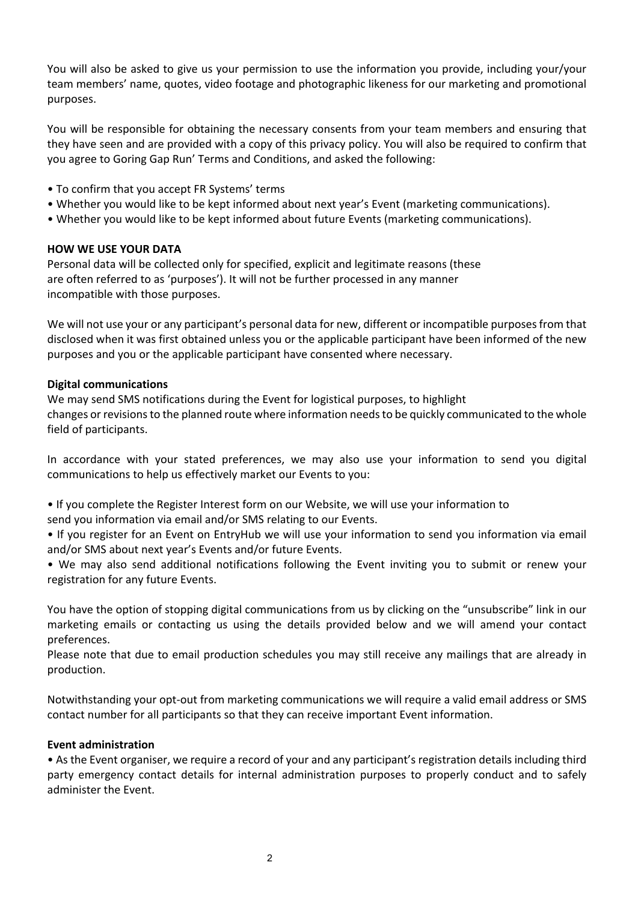You will also be asked to give us your permission to use the information you provide, including your/your team members' name, quotes, video footage and photographic likeness for our marketing and promotional purposes.

You will be responsible for obtaining the necessary consents from your team members and ensuring that they have seen and are provided with a copy of this privacy policy. You will also be required to confirm that you agree to Goring Gap Run' Terms and Conditions, and asked the following:

- To confirm that you accept FR Systems' terms
- Whether you would like to be kept informed about next year's Event (marketing communications).
- Whether you would like to be kept informed about future Events (marketing communications).

### **HOW WE USE YOUR DATA**

Personal data will be collected only for specified, explicit and legitimate reasons (these are often referred to as 'purposes'). It will not be further processed in any manner incompatible with those purposes.

We will not use your or any participant's personal data for new, different or incompatible purposes from that disclosed when it was first obtained unless you or the applicable participant have been informed of the new purposes and you or the applicable participant have consented where necessary.

### **Digital communications**

We may send SMS notifications during the Event for logistical purposes, to highlight changes or revisions to the planned route where information needs to be quickly communicated to the whole field of participants.

In accordance with your stated preferences, we may also use your information to send you digital communications to help us effectively market our Events to you:

• If you complete the Register Interest form on our Website, we will use your information to send you information via email and/or SMS relating to our Events.

• If you register for an Event on EntryHub we will use your information to send you information via email and/or SMS about next year's Events and/or future Events.

• We may also send additional notifications following the Event inviting you to submit or renew your registration for any future Events.

You have the option of stopping digital communications from us by clicking on the "unsubscribe" link in our marketing emails or contacting us using the details provided below and we will amend your contact preferences.

Please note that due to email production schedules you may still receive any mailings that are already in production.

Notwithstanding your opt-out from marketing communications we will require a valid email address or SMS contact number for all participants so that they can receive important Event information.

#### **Event administration**

• As the Event organiser, we require a record of your and any participant's registration details including third party emergency contact details for internal administration purposes to properly conduct and to safely administer the Event.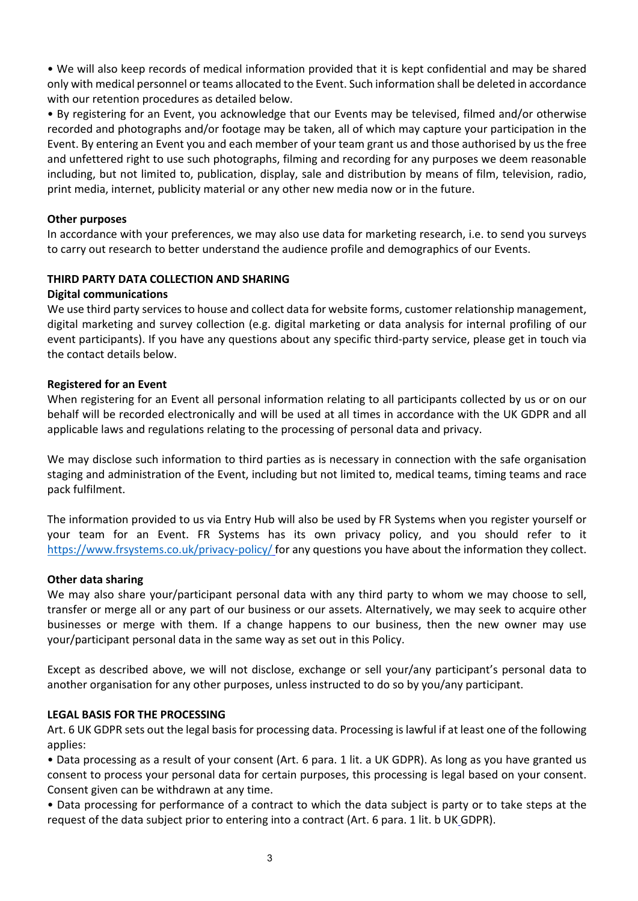• We will also keep records of medical information provided that it is kept confidential and may be shared only with medical personnel or teams allocated to the Event. Such information shall be deleted in accordance with our retention procedures as detailed below.

• By registering for an Event, you acknowledge that our Events may be televised, filmed and/or otherwise recorded and photographs and/or footage may be taken, all of which may capture your participation in the Event. By entering an Event you and each member of your team grant us and those authorised by us the free and unfettered right to use such photographs, filming and recording for any purposes we deem reasonable including, but not limited to, publication, display, sale and distribution by means of film, television, radio, print media, internet, publicity material or any other new media now or in the future.

### **Other purposes**

In accordance with your preferences, we may also use data for marketing research, i.e. to send you surveys to carry out research to better understand the audience profile and demographics of our Events.

## **THIRD PARTY DATA COLLECTION AND SHARING**

#### **Digital communications**

We use third party services to house and collect data for website forms, customer relationship management, digital marketing and survey collection (e.g. digital marketing or data analysis for internal profiling of our event participants). If you have any questions about any specific third-party service, please get in touch via the contact details below.

#### **Registered for an Event**

When registering for an Event all personal information relating to all participants collected by us or on our behalf will be recorded electronically and will be used at all times in accordance with the UK GDPR and all applicable laws and regulations relating to the processing of personal data and privacy.

We may disclose such information to third parties as is necessary in connection with the safe organisation staging and administration of the Event, including but not limited to, medical teams, timing teams and race pack fulfilment.

The information provided to us via Entry Hub will also be used by FR Systems when you register yourself or your team for an Event. FR Systems has its own privacy policy, and you should refer to it https://www.frsystems.co.uk/privacy-policy/ for any questions you have about the information they collect.

#### **Other data sharing**

We may also share your/participant personal data with any third party to whom we may choose to sell, transfer or merge all or any part of our business or our assets. Alternatively, we may seek to acquire other businesses or merge with them. If a change happens to our business, then the new owner may use your/participant personal data in the same way as set out in this Policy.

Except as described above, we will not disclose, exchange or sell your/any participant's personal data to another organisation for any other purposes, unless instructed to do so by you/any participant.

#### **LEGAL BASIS FOR THE PROCESSING**

Art. 6 UK GDPR sets out the legal basis for processing data. Processing is lawful if at least one of the following applies:

• Data processing as a result of your consent (Art. 6 para. 1 lit. a UK GDPR). As long as you have granted us consent to process your personal data for certain purposes, this processing is legal based on your consent. Consent given can be withdrawn at any time.

• Data processing for performance of a contract to which the data subject is party or to take steps at the request of the data subject prior to entering into a contract (Art. 6 para. 1 lit. b UK GDPR).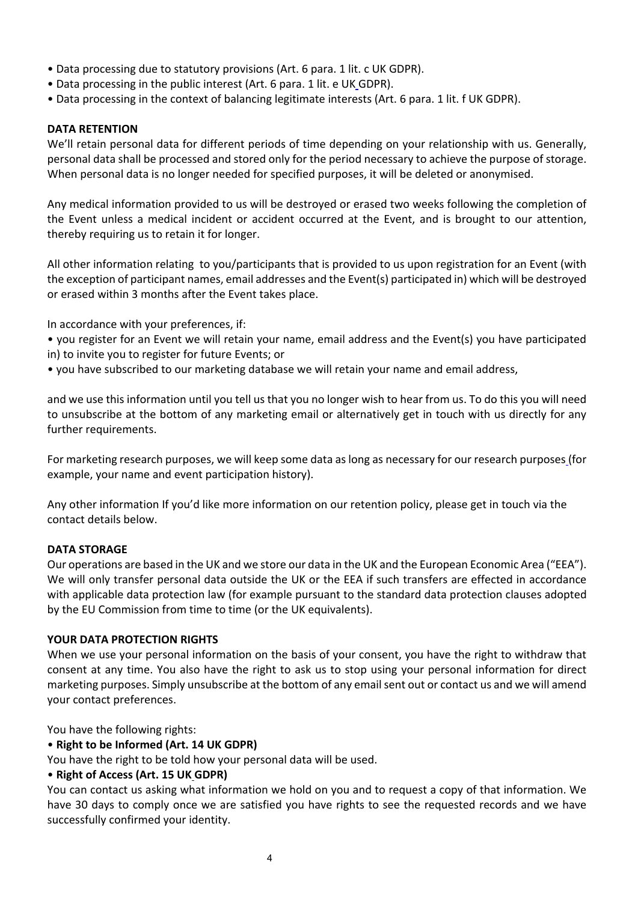- Data processing due to statutory provisions (Art. 6 para. 1 lit. c UK GDPR).
- Data processing in the public interest (Art. 6 para. 1 lit. e UK GDPR).
- Data processing in the context of balancing legitimate interests (Art. 6 para. 1 lit. f UK GDPR).

## **DATA RETENTION**

We'll retain personal data for different periods of time depending on your relationship with us. Generally, personal data shall be processed and stored only for the period necessary to achieve the purpose of storage. When personal data is no longer needed for specified purposes, it will be deleted or anonymised.

Any medical information provided to us will be destroyed or erased two weeks following the completion of the Event unless a medical incident or accident occurred at the Event, and is brought to our attention, thereby requiring us to retain it for longer.

All other information relating to you/participants that is provided to us upon registration for an Event (with the exception of participant names, email addresses and the Event(s) participated in) which will be destroyed or erased within 3 months after the Event takes place.

In accordance with your preferences, if:

- you register for an Event we will retain your name, email address and the Event(s) you have participated in) to invite you to register for future Events; or
- you have subscribed to our marketing database we will retain your name and email address,

and we use this information until you tell us that you no longer wish to hear from us. To do this you will need to unsubscribe at the bottom of any marketing email or alternatively get in touch with us directly for any further requirements.

For marketing research purposes, we will keep some data as long as necessary for our research purposes (for example, your name and event participation history).

Any other information If you'd like more information on our retention policy, please get in touch via the contact details below.

#### **DATA STORAGE**

Our operations are based in the UK and we store our data in the UK and the European Economic Area ("EEA"). We will only transfer personal data outside the UK or the EEA if such transfers are effected in accordance with applicable data protection law (for example pursuant to the standard data protection clauses adopted by the EU Commission from time to time (or the UK equivalents).

## **YOUR DATA PROTECTION RIGHTS**

When we use your personal information on the basis of your consent, you have the right to withdraw that consent at any time. You also have the right to ask us to stop using your personal information for direct marketing purposes. Simply unsubscribe at the bottom of any email sent out or contact us and we will amend your contact preferences.

You have the following rights:

## • **Right to be Informed (Art. 14 UK GDPR)**

You have the right to be told how your personal data will be used.

## • **Right of Access (Art. 15 UK GDPR)**

You can contact us asking what information we hold on you and to request a copy of that information. We have 30 days to comply once we are satisfied you have rights to see the requested records and we have successfully confirmed your identity.